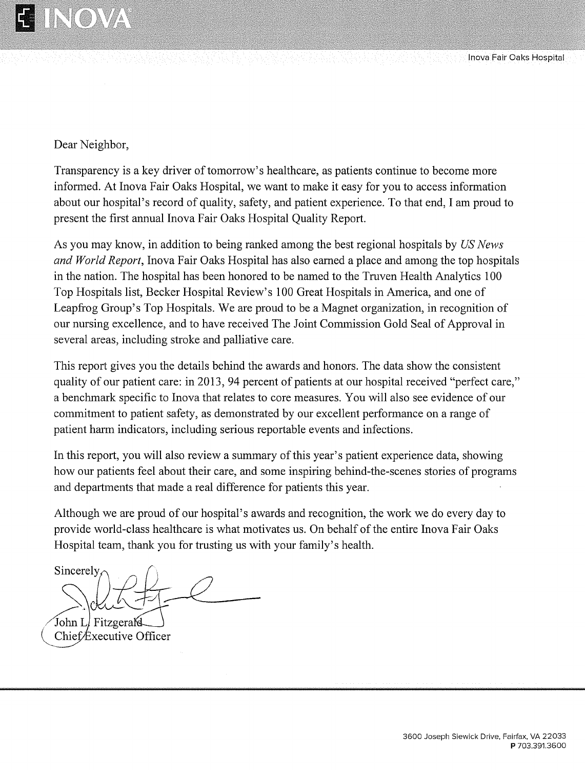

Inova Fair Oaks Hospital

Dear Neighbor,

Transparency is a key driver of tomorrow's healthcare, as patients continue to become more informed. At Inova Fair Oaks Hospital, we want to make it easy for you to access information about our hospital's record of quality, safety, and patient experience. To that end, I am proud to present the first annual Inova Fair Oaks Hospital Quality Report.

As you may know, in addition to being ranked among the best regional hospitals by US News and World Report, Inova Fair Oaks Hospital has also earned a place and among the top hospitals in the nation. The hospital has been honored to be named to the Truven Health Analytics 100 Top Hospitals list, Becker Hospital Review's 100 Great Hospitals in America, and one of Leapfrog Group's Top Hospitals. We are proud to be a Magnet organization, in recognition of our nursing excellence, and to have received The Joint Commission Gold Seal of Approval in several areas, including stroke and palliative care.

This report gives you the details behind the awards and honors. The data show the consistent quality of our patient care: in 2013, 94 percent of patients at our hospital received "perfect care," a benchmark specific to Inova that relates to core measures. You will also see evidence of our commitment to patient safety, as demonstrated by our excellent performance on a range of patient harm indicators, including serious reportable events and infections.

In this report, you will also review a summary of this year's patient experience data, showing how our patients feel about their care, and some inspiring behind-the-scenes stories of programs and departments that made a real difference for patients this year.

Although we are proud of our hospital's awards and recognition, the work we do every day to provide world-class healthcare is what motivates us. On behalf of the entire Inova Fair Oaks Hospital team, thank you for trusting us with your family's health.

Sincerely,

John Ll FitzgeraK Chief Executive Officer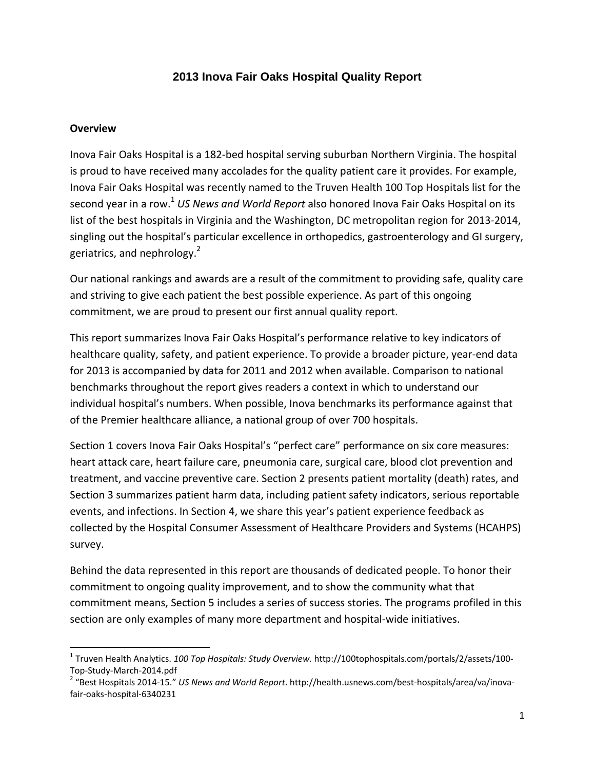# **2013 Inova Fair Oaks Hospital Quality Report**

#### **Overview**

Inova Fair Oaks Hospital is a 182‐bed hospital serving suburban Northern Virginia. The hospital is proud to have received many accolades for the quality patient care it provides. For example, Inova Fair Oaks Hospital was recently named to the Truven Health 100 Top Hospitals list for the second year in a row.<sup>1</sup> *US News and World Report* also honored Inova Fair Oaks Hospital on its list of the best hospitals in Virginia and the Washington, DC metropolitan region for 2013‐2014, singling out the hospital's particular excellence in orthopedics, gastroenterology and GI surgery, geriatrics, and nephrology.<sup>2</sup>

Our national rankings and awards are a result of the commitment to providing safe, quality care and striving to give each patient the best possible experience. As part of this ongoing commitment, we are proud to present our first annual quality report.

This report summarizes Inova Fair Oaks Hospital's performance relative to key indicators of healthcare quality, safety, and patient experience. To provide a broader picture, year-end data for 2013 is accompanied by data for 2011 and 2012 when available. Comparison to national benchmarks throughout the report gives readers a context in which to understand our individual hospital's numbers. When possible, Inova benchmarks its performance against that of the Premier healthcare alliance, a national group of over 700 hospitals.

Section 1 covers Inova Fair Oaks Hospital's "perfect care" performance on six core measures: heart attack care, heart failure care, pneumonia care, surgical care, blood clot prevention and treatment, and vaccine preventive care. Section 2 presents patient mortality (death) rates, and Section 3 summarizes patient harm data, including patient safety indicators, serious reportable events, and infections. In Section 4, we share this year's patient experience feedback as collected by the Hospital Consumer Assessment of Healthcare Providers and Systems (HCAHPS) survey.

Behind the data represented in this report are thousands of dedicated people. To honor their commitment to ongoing quality improvement, and to show the community what that commitment means, Section 5 includes a series of success stories. The programs profiled in this section are only examples of many more department and hospital-wide initiatives.

<sup>1</sup> Truven Health Analytics. *100 Top Hospitals: Study Overview.* http://100tophospitals.com/portals/2/assets/100‐ Top-Study-March-2014.pdf<br><sup>2</sup> "Best Hospitals 2014-15." *US News and World Report*. http://health.usnews.com/best-hospitals/area/va/inova-

fair‐oaks‐hospital‐6340231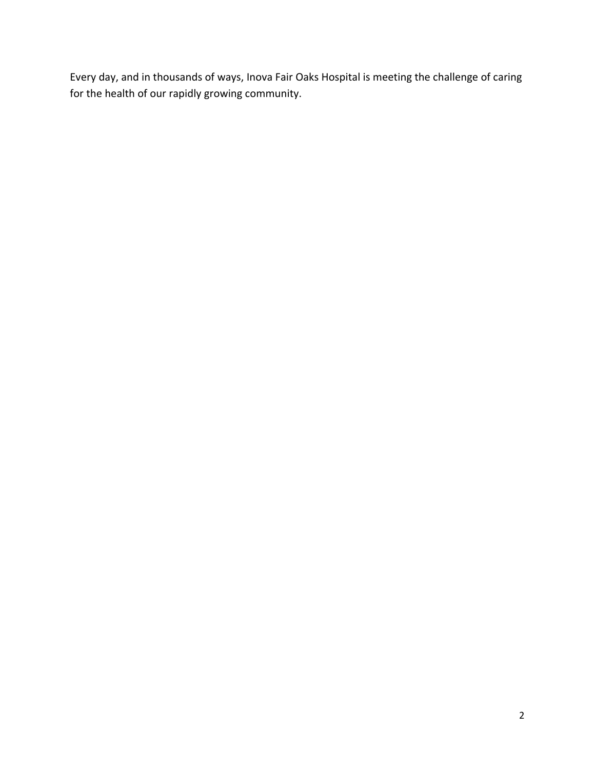Every day, and in thousands of ways, Inova Fair Oaks Hospital is meeting the challenge of caring for the health of our rapidly growing community.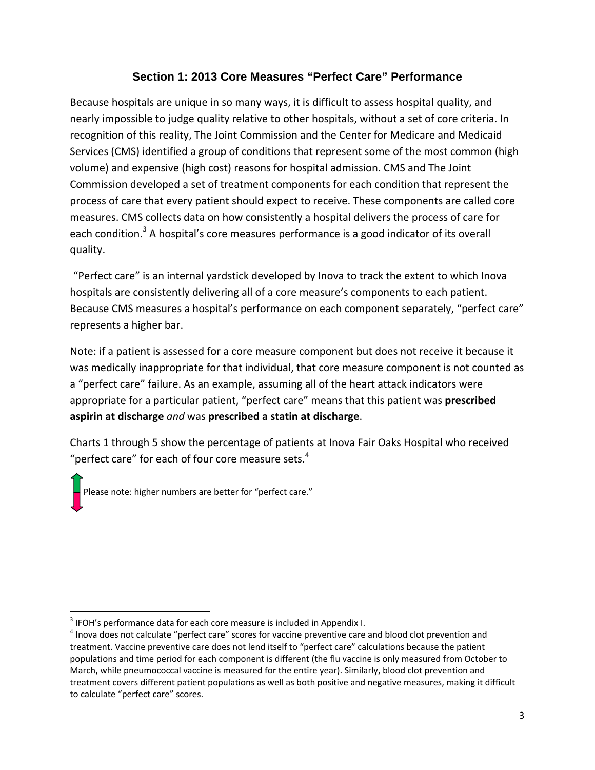# **Section 1: 2013 Core Measures "Perfect Care" Performance**

Because hospitals are unique in so many ways, it is difficult to assess hospital quality, and nearly impossible to judge quality relative to other hospitals, without a set of core criteria. In recognition of this reality, The Joint Commission and the Center for Medicare and Medicaid Services (CMS) identified a group of conditions that represent some of the most common (high volume) and expensive (high cost) reasons for hospital admission. CMS and The Joint Commission developed a set of treatment components for each condition that represent the process of care that every patient should expect to receive. These components are called core measures. CMS collects data on how consistently a hospital delivers the process of care for each condition.<sup>3</sup> A hospital's core measures performance is a good indicator of its overall quality.

"Perfect care" is an internal yardstick developed by Inova to track the extent to which Inova hospitals are consistently delivering all of a core measure's components to each patient. Because CMS measures a hospital's performance on each component separately, "perfect care" represents a higher bar.

Note: if a patient is assessed for a core measure component but does not receive it because it was medically inappropriate for that individual, that core measure component is not counted as a "perfect care" failure. As an example, assuming all of the heart attack indicators were appropriate for a particular patient, "perfect care" means that this patient was **prescribed aspirin at discharge** *and* was **prescribed a statin at discharge**.

Charts 1 through 5 show the percentage of patients at Inova Fair Oaks Hospital who received "perfect care" for each of four core measure sets. $4$ 

Please note: higher numbers are better for "perfect care."

 $3$  IFOH's performance data for each core measure is included in Appendix I.<br> $4$  Inova does not calculate "perfect care" scores for vaccine preventive care and blood clot prevention and treatment. Vaccine preventive care does not lend itself to "perfect care" calculations because the patient populations and time period for each component is different (the flu vaccine is only measured from October to March, while pneumococcal vaccine is measured for the entire year). Similarly, blood clot prevention and treatment covers different patient populations as well as both positive and negative measures, making it difficult to calculate "perfect care" scores.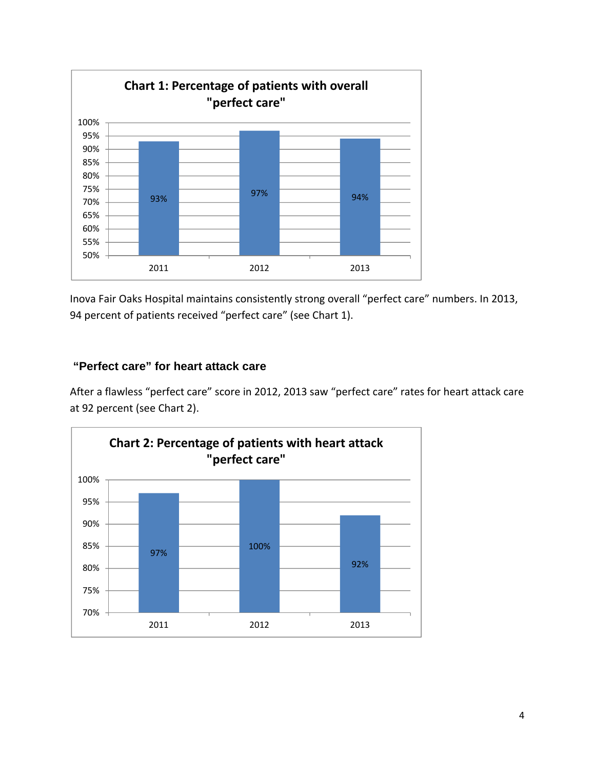

Inova Fair Oaks Hospital maintains consistently strong overall "perfect care" numbers. In 2013, 94 percent of patients received "perfect care" (see Chart 1).

# **"Perfect care" for heart attack care**

After a flawless "perfect care" score in 2012, 2013 saw "perfect care" rates for heart attack care at 92 percent (see Chart 2).

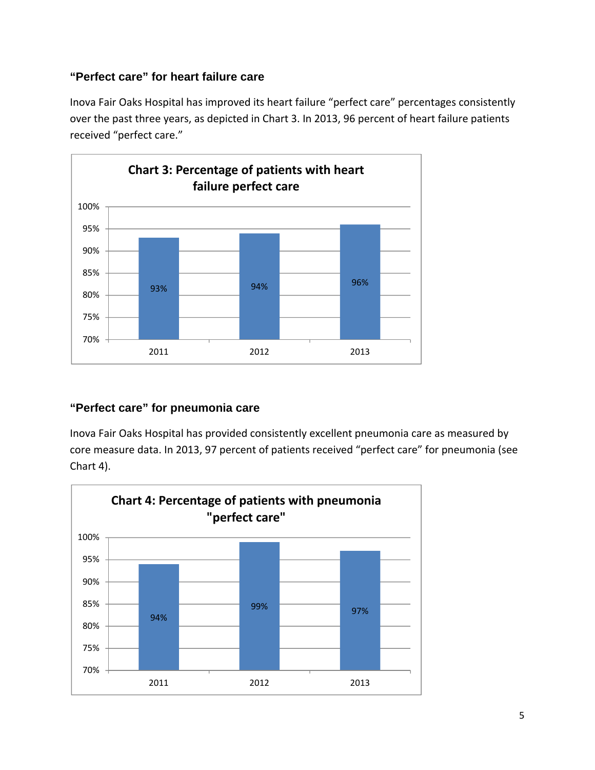# **"Perfect care" for heart failure care**

Inova Fair Oaks Hospital has improved its heart failure "perfect care" percentages consistently over the past three years, as depicted in Chart 3. In 2013, 96 percent of heart failure patients received "perfect care."



# **"Perfect care" for pneumonia care**

Inova Fair Oaks Hospital has provided consistently excellent pneumonia care as measured by core measure data. In 2013, 97 percent of patients received "perfect care" for pneumonia (see Chart 4).

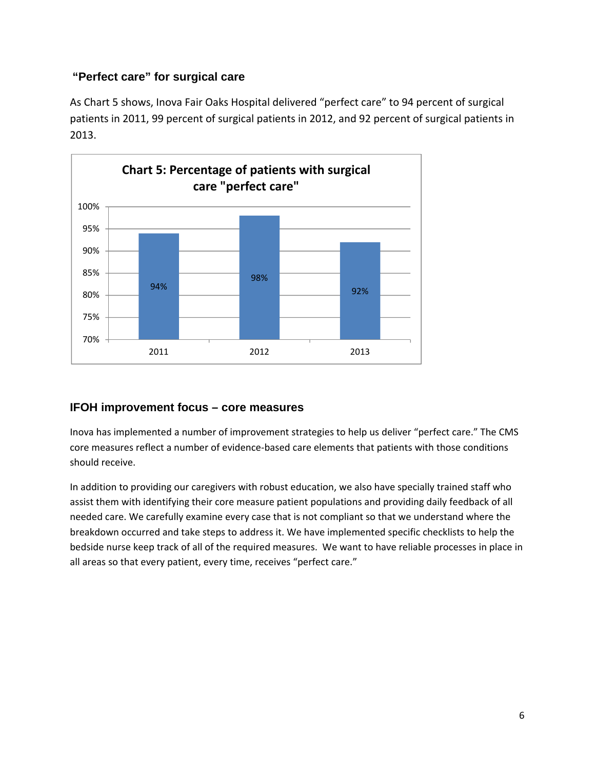# **"Perfect care" for surgical care**

As Chart 5 shows, Inova Fair Oaks Hospital delivered "perfect care" to 94 percent of surgical patients in 2011, 99 percent of surgical patients in 2012, and 92 percent of surgical patients in 2013.



# **IFOH improvement focus – core measures**

Inova has implemented a number of improvement strategies to help us deliver "perfect care." The CMS core measures reflect a number of evidence‐based care elements that patients with those conditions should receive.

In addition to providing our caregivers with robust education, we also have specially trained staff who assist them with identifying their core measure patient populations and providing daily feedback of all needed care. We carefully examine every case that is not compliant so that we understand where the breakdown occurred and take steps to address it. We have implemented specific checklists to help the bedside nurse keep track of all of the required measures. We want to have reliable processes in place in all areas so that every patient, every time, receives "perfect care."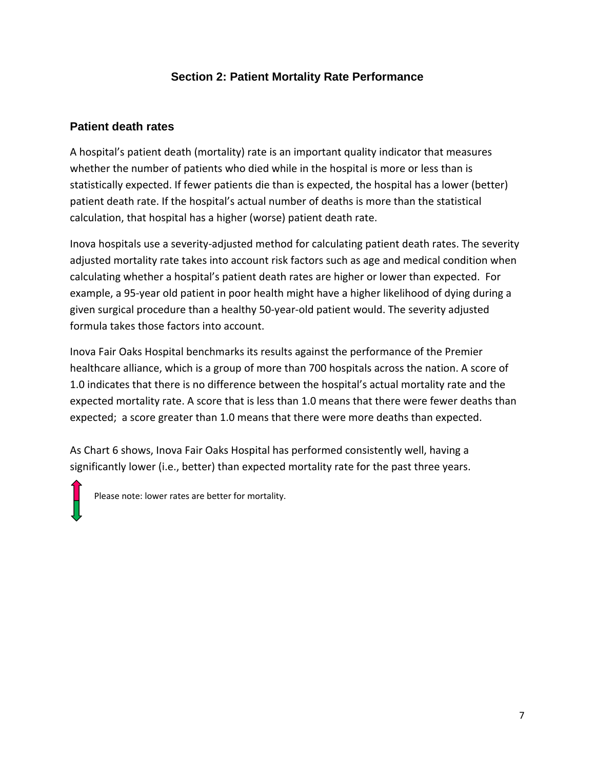# **Section 2: Patient Mortality Rate Performance**

### **Patient death rates**

A hospital's patient death (mortality) rate is an important quality indicator that measures whether the number of patients who died while in the hospital is more or less than is statistically expected. If fewer patients die than is expected, the hospital has a lower (better) patient death rate. If the hospital's actual number of deaths is more than the statistical calculation, that hospital has a higher (worse) patient death rate.

Inova hospitals use a severity-adjusted method for calculating patient death rates. The severity adjusted mortality rate takes into account risk factors such as age and medical condition when calculating whether a hospital's patient death rates are higher or lower than expected. For example, a 95‐year old patient in poor health might have a higher likelihood of dying during a given surgical procedure than a healthy 50‐year‐old patient would. The severity adjusted formula takes those factors into account.

Inova Fair Oaks Hospital benchmarks its results against the performance of the Premier healthcare alliance, which is a group of more than 700 hospitals across the nation. A score of 1.0 indicates that there is no difference between the hospital's actual mortality rate and the expected mortality rate. A score that is less than 1.0 means that there were fewer deaths than expected; a score greater than 1.0 means that there were more deaths than expected.

As Chart 6 shows, Inova Fair Oaks Hospital has performed consistently well, having a significantly lower (i.e., better) than expected mortality rate for the past three years.

Please note: lower rates are better for mortality.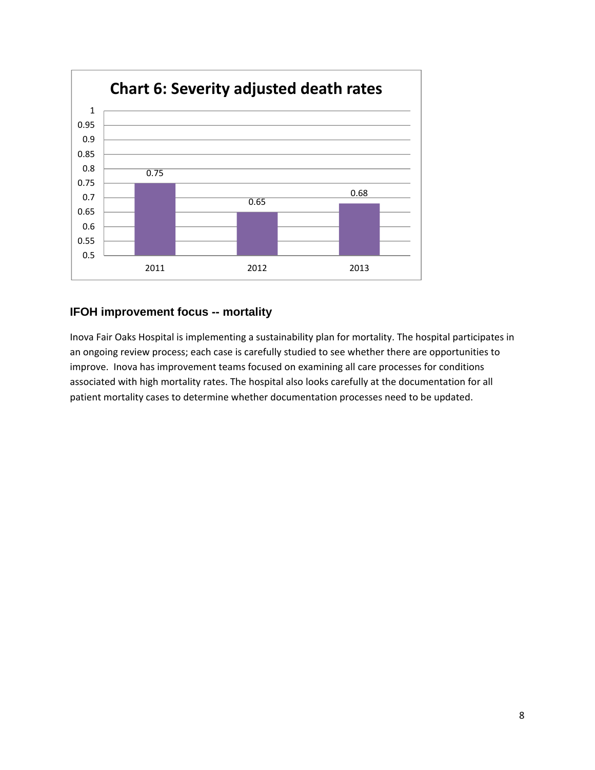

## **IFOH improvement focus -- mortality**

Inova Fair Oaks Hospital is implementing a sustainability plan for mortality. The hospital participates in an ongoing review process; each case is carefully studied to see whether there are opportunities to improve. Inova has improvement teams focused on examining all care processes for conditions associated with high mortality rates. The hospital also looks carefully at the documentation for all patient mortality cases to determine whether documentation processes need to be updated.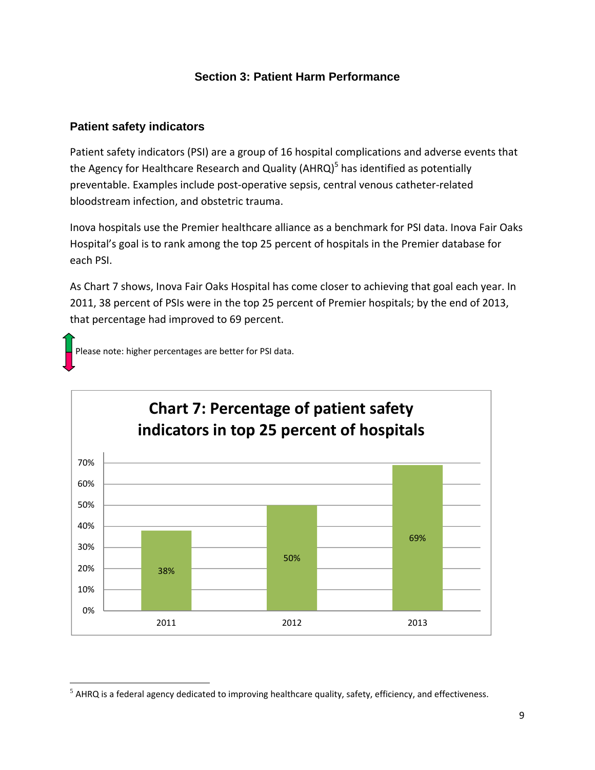# **Section 3: Patient Harm Performance**

## **Patient safety indicators**

Patient safety indicators (PSI) are a group of 16 hospital complications and adverse events that the Agency for Healthcare Research and Quality ( $AHRQ$ )<sup>5</sup> has identified as potentially preventable. Examples include post‐operative sepsis, central venous catheter‐related bloodstream infection, and obstetric trauma.

Inova hospitals use the Premier healthcare alliance as a benchmark for PSI data. Inova Fair Oaks Hospital's goal is to rank among the top 25 percent of hospitals in the Premier database for each PSI.

As Chart 7 shows, Inova Fair Oaks Hospital has come closer to achieving that goal each year. In 2011, 38 percent of PSIs were in the top 25 percent of Premier hospitals; by the end of 2013, that percentage had improved to 69 percent.



Please note: higher percentages are better for PSI data.

 $<sup>5</sup>$  AHRQ is a federal agency dedicated to improving healthcare quality, safety, efficiency, and effectiveness.</sup>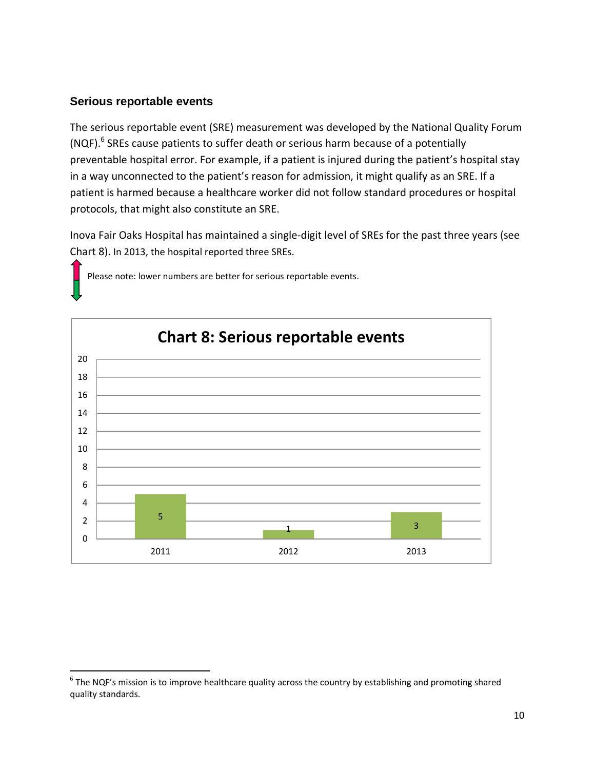### **Serious reportable events**

The serious reportable event (SRE) measurement was developed by the National Quality Forum (NQF). $6$  SREs cause patients to suffer death or serious harm because of a potentially preventable hospital error. For example, if a patient is injured during the patient's hospital stay in a way unconnected to the patient's reason for admission, it might qualify as an SRE. If a patient is harmed because a healthcare worker did not follow standard procedures or hospital protocols, that might also constitute an SRE.

Inova Fair Oaks Hospital has maintained a single‐digit level of SREs for the past three years (see Chart 8). In 2013, the hospital reported three SREs.



Please note: lower numbers are better for serious reportable events.

 $6$  The NQF's mission is to improve healthcare quality across the country by establishing and promoting shared quality standards.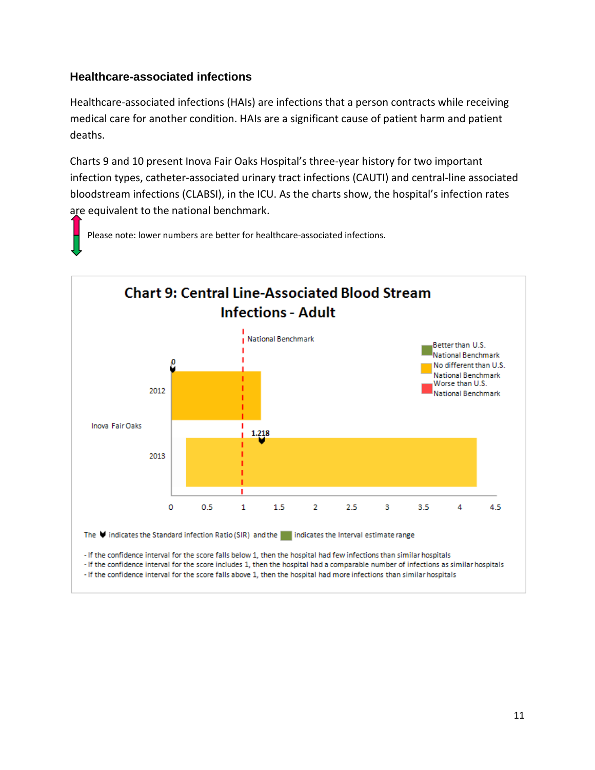# **Healthcare-associated infections**

Healthcare‐associated infections (HAIs) are infections that a person contracts while receiving medical care for another condition. HAIs are a significant cause of patient harm and patient deaths.

Charts 9 and 10 present Inova Fair Oaks Hospital's three‐year history for two important infection types, catheter‐associated urinary tract infections (CAUTI) and central‐line associated bloodstream infections (CLABSI), in the ICU. As the charts show, the hospital's infection rates are equivalent to the national benchmark.

Please note: lower numbers are better for healthcare‐associated infections.

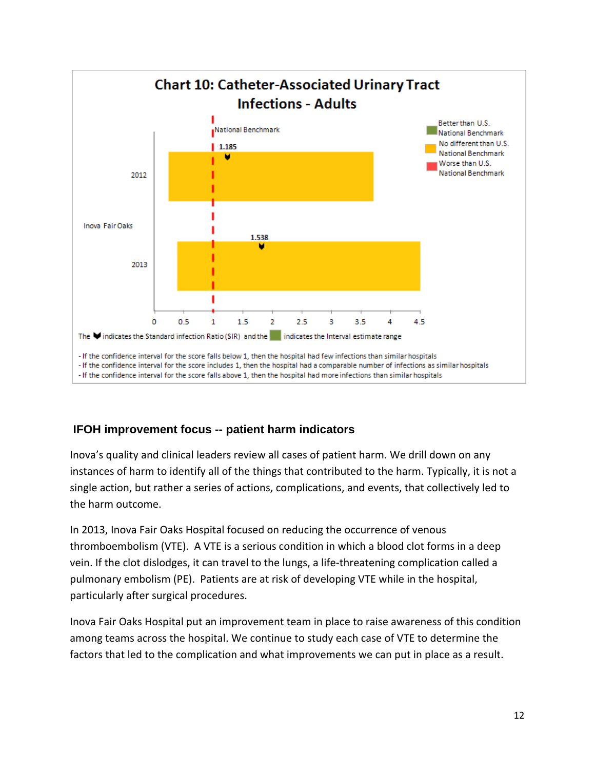

# **IFOH improvement focus -- patient harm indicators**

Inova's quality and clinical leaders review all cases of patient harm. We drill down on any instances of harm to identify all of the things that contributed to the harm. Typically, it is not a single action, but rather a series of actions, complications, and events, that collectively led to the harm outcome.

In 2013, Inova Fair Oaks Hospital focused on reducing the occurrence of venous thromboembolism (VTE). A VTE is a serious condition in which a blood clot forms in a deep vein. If the clot dislodges, it can travel to the lungs, a life-threatening complication called a pulmonary embolism (PE). Patients are at risk of developing VTE while in the hospital, particularly after surgical procedures.

Inova Fair Oaks Hospital put an improvement team in place to raise awareness of this condition among teams across the hospital. We continue to study each case of VTE to determine the factors that led to the complication and what improvements we can put in place as a result.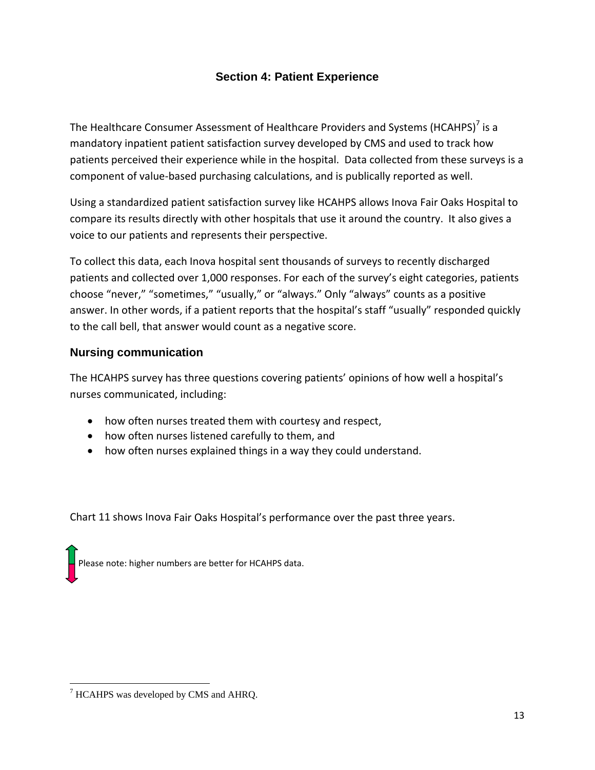# **Section 4: Patient Experience**

The Healthcare Consumer Assessment of Healthcare Providers and Systems (HCAHPS) $^7$  is a mandatory inpatient patient satisfaction survey developed by CMS and used to track how patients perceived their experience while in the hospital. Data collected from these surveys is a component of value‐based purchasing calculations, and is publically reported as well.

Using a standardized patient satisfaction survey like HCAHPS allows Inova Fair Oaks Hospital to compare its results directly with other hospitals that use it around the country. It also gives a voice to our patients and represents their perspective.

To collect this data, each Inova hospital sent thousands of surveys to recently discharged patients and collected over 1,000 responses. For each of the survey's eight categories, patients choose "never," "sometimes," "usually," or "always." Only "always" counts as a positive answer. In other words, if a patient reports that the hospital's staff "usually" responded quickly to the call bell, that answer would count as a negative score.

# **Nursing communication**

The HCAHPS survey has three questions covering patients' opinions of how well a hospital's nurses communicated, including:

- how often nurses treated them with courtesy and respect,
- how often nurses listened carefully to them, and
- how often nurses explained things in a way they could understand.

Chart 11 shows Inova Fair Oaks Hospital's performance over the past three years.

Please note: higher numbers are better for HCAHPS data.

 <sup>7</sup> HCAHPS was developed by CMS and AHRQ.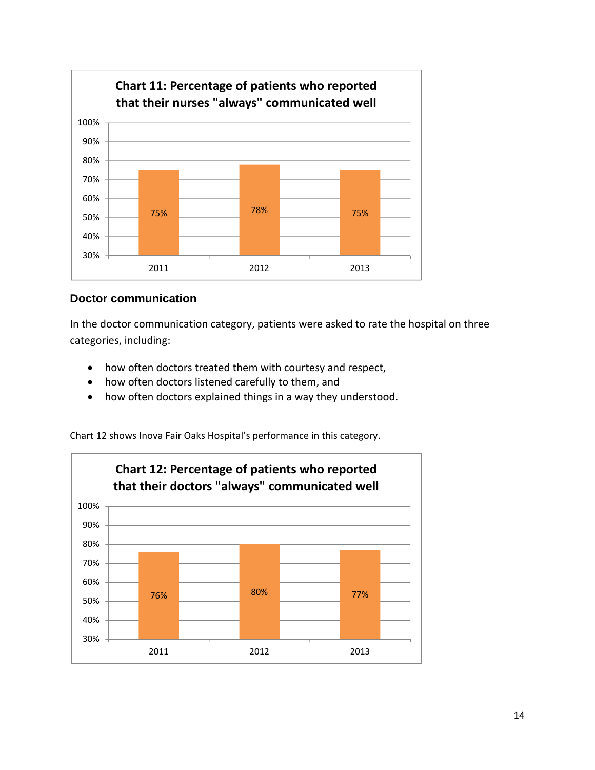

## **Doctor communication**

In the doctor communication category, patients were asked to rate the hospital on three categories, including:

- how often doctors treated them with courtesy and respect,
- how often doctors listened carefully to them, and
- how often doctors explained things in a way they understood.

Chart 12 shows Inova Fair Oaks Hospital's performance in this category.

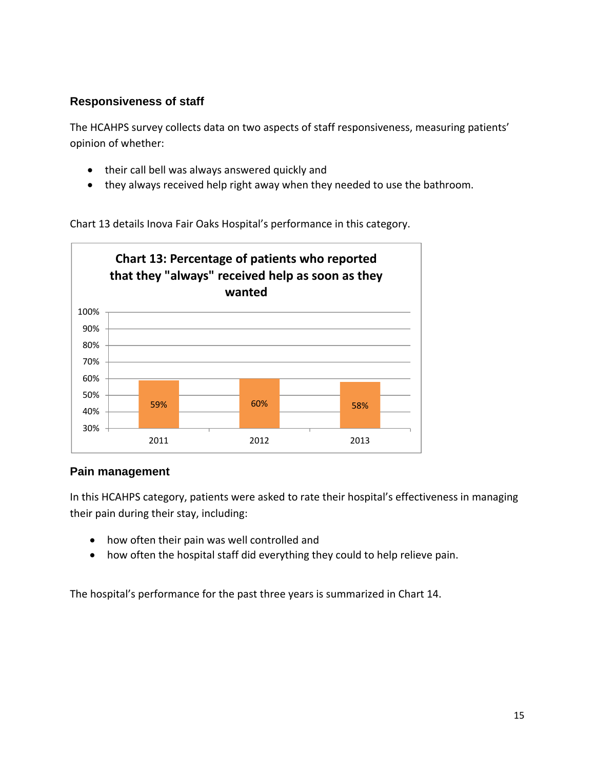# **Responsiveness of staff**

The HCAHPS survey collects data on two aspects of staff responsiveness, measuring patients' opinion of whether:

- their call bell was always answered quickly and
- they always received help right away when they needed to use the bathroom.

Chart 13 details Inova Fair Oaks Hospital's performance in this category.



#### **Pain management**

In this HCAHPS category, patients were asked to rate their hospital's effectiveness in managing their pain during their stay, including:

- how often their pain was well controlled and
- how often the hospital staff did everything they could to help relieve pain.

The hospital's performance for the past three years is summarized in Chart 14.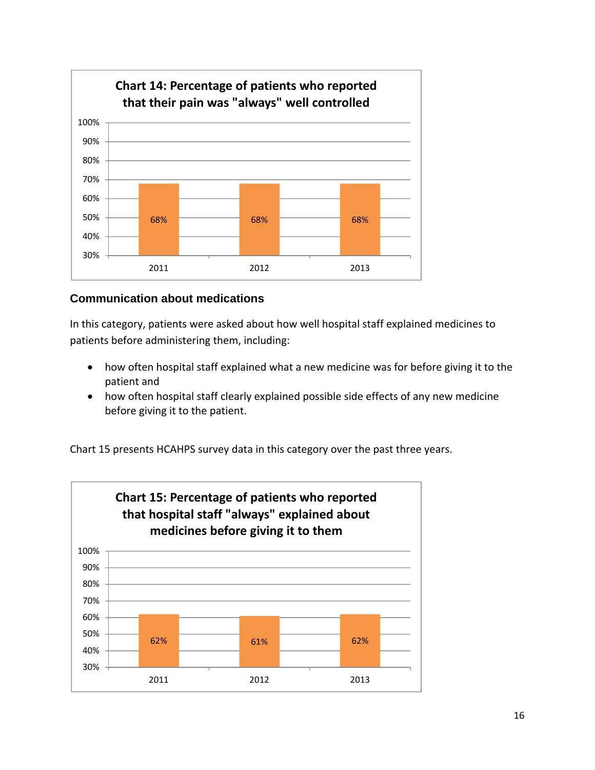

# **Communication about medications**

In this category, patients were asked about how well hospital staff explained medicines to patients before administering them, including:

- how often hospital staff explained what a new medicine was for before giving it to the patient and
- how often hospital staff clearly explained possible side effects of any new medicine before giving it to the patient.

Chart 15 presents HCAHPS survey data in this category over the past three years.

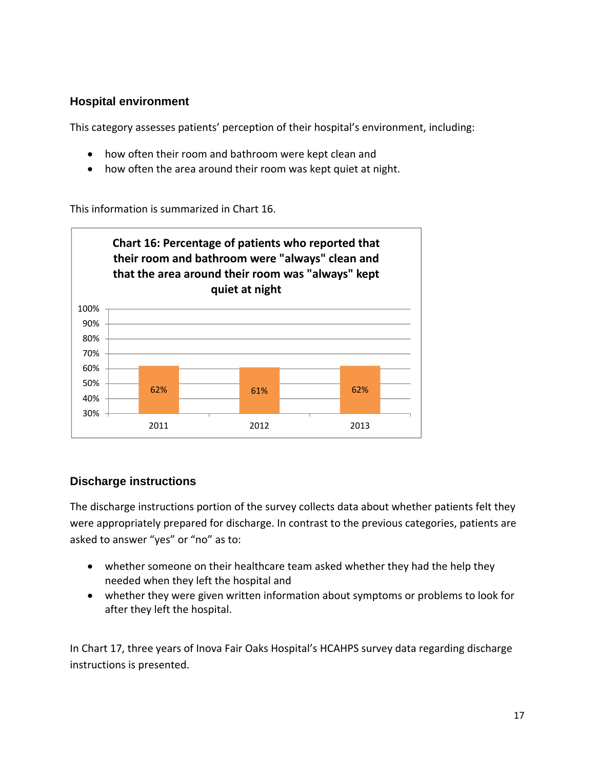# **Hospital environment**

This category assesses patients' perception of their hospital's environment, including:

- how often their room and bathroom were kept clean and
- how often the area around their room was kept quiet at night.

This information is summarized in Chart 16.



### **Discharge instructions**

The discharge instructions portion of the survey collects data about whether patients felt they were appropriately prepared for discharge. In contrast to the previous categories, patients are asked to answer "yes" or "no" as to:

- whether someone on their healthcare team asked whether they had the help they needed when they left the hospital and
- whether they were given written information about symptoms or problems to look for after they left the hospital.

In Chart 17, three years of Inova Fair Oaks Hospital's HCAHPS survey data regarding discharge instructions is presented.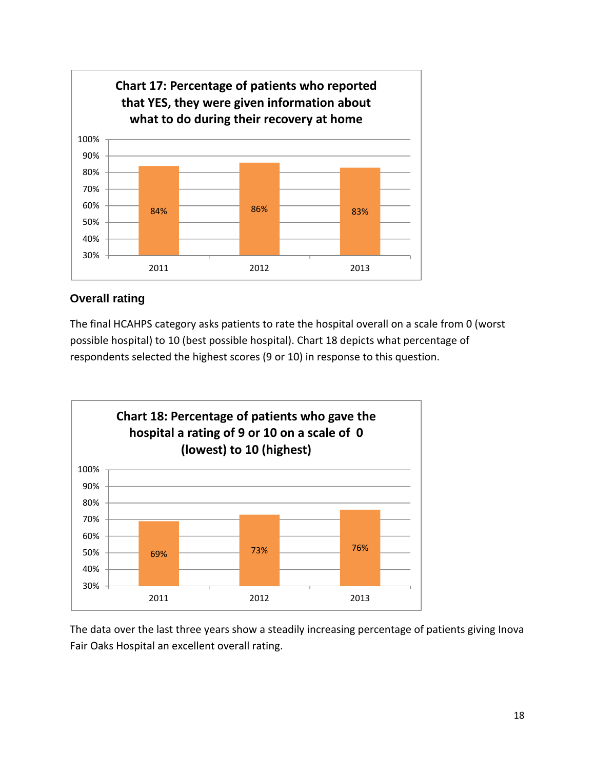

# **Overall rating**

The final HCAHPS category asks patients to rate the hospital overall on a scale from 0 (worst possible hospital) to 10 (best possible hospital). Chart 18 depicts what percentage of respondents selected the highest scores (9 or 10) in response to this question.



The data over the last three years show a steadily increasing percentage of patients giving Inova Fair Oaks Hospital an excellent overall rating.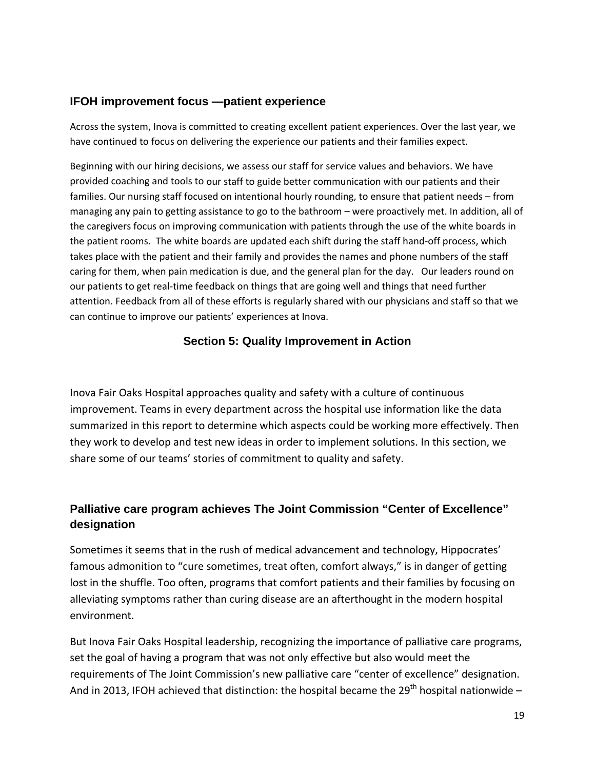### **IFOH improvement focus —patient experience**

Across the system, Inova is committed to creating excellent patient experiences. Over the last year, we have continued to focus on delivering the experience our patients and their families expect.

Beginning with our hiring decisions, we assess our staff for service values and behaviors. We have provided coaching and tools to our staff to guide better communication with our patients and their families. Our nursing staff focused on intentional hourly rounding, to ensure that patient needs – from managing any pain to getting assistance to go to the bathroom – were proactively met. In addition, all of the caregivers focus on improving communication with patients through the use of the white boards in the patient rooms. The white boards are updated each shift during the staff hand‐off process, which takes place with the patient and their family and provides the names and phone numbers of the staff caring for them, when pain medication is due, and the general plan for the day. Our leaders round on our patients to get real-time feedback on things that are going well and things that need further attention. Feedback from all of these efforts is regularly shared with our physicians and staff so that we can continue to improve our patients' experiences at Inova.

### **Section 5: Quality Improvement in Action**

Inova Fair Oaks Hospital approaches quality and safety with a culture of continuous improvement. Teams in every department across the hospital use information like the data summarized in this report to determine which aspects could be working more effectively. Then they work to develop and test new ideas in order to implement solutions. In this section, we share some of our teams' stories of commitment to quality and safety.

# **Palliative care program achieves The Joint Commission "Center of Excellence" designation**

Sometimes it seems that in the rush of medical advancement and technology, Hippocrates' famous admonition to "cure sometimes, treat often, comfort always," is in danger of getting lost in the shuffle. Too often, programs that comfort patients and their families by focusing on alleviating symptoms rather than curing disease are an afterthought in the modern hospital environment.

But Inova Fair Oaks Hospital leadership, recognizing the importance of palliative care programs, set the goal of having a program that was not only effective but also would meet the requirements of The Joint Commission's new palliative care "center of excellence" designation. And in 2013, IFOH achieved that distinction: the hospital became the 29<sup>th</sup> hospital nationwide –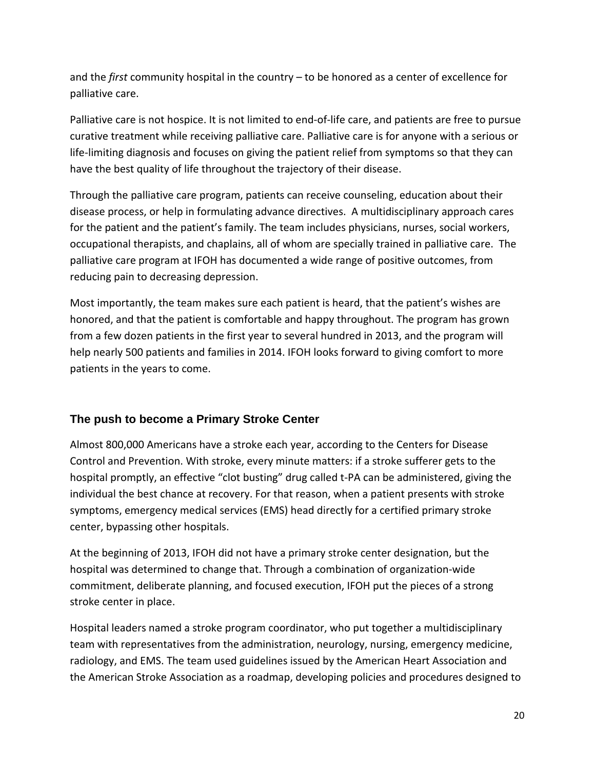and the *first* community hospital in the country – to be honored as a center of excellence for palliative care.

Palliative care is not hospice. It is not limited to end‐of‐life care, and patients are free to pursue curative treatment while receiving palliative care. Palliative care is for anyone with a serious or life‐limiting diagnosis and focuses on giving the patient relief from symptoms so that they can have the best quality of life throughout the trajectory of their disease.

Through the palliative care program, patients can receive counseling, education about their disease process, or help in formulating advance directives. A multidisciplinary approach cares for the patient and the patient's family. The team includes physicians, nurses, social workers, occupational therapists, and chaplains, all of whom are specially trained in palliative care. The palliative care program at IFOH has documented a wide range of positive outcomes, from reducing pain to decreasing depression.

Most importantly, the team makes sure each patient is heard, that the patient's wishes are honored, and that the patient is comfortable and happy throughout. The program has grown from a few dozen patients in the first year to several hundred in 2013, and the program will help nearly 500 patients and families in 2014. IFOH looks forward to giving comfort to more patients in the years to come.

# **The push to become a Primary Stroke Center**

Almost 800,000 Americans have a stroke each year, according to the Centers for Disease Control and Prevention. With stroke, every minute matters: if a stroke sufferer gets to the hospital promptly, an effective "clot busting" drug called t-PA can be administered, giving the individual the best chance at recovery. For that reason, when a patient presents with stroke symptoms, emergency medical services (EMS) head directly for a certified primary stroke center, bypassing other hospitals.

At the beginning of 2013, IFOH did not have a primary stroke center designation, but the hospital was determined to change that. Through a combination of organization‐wide commitment, deliberate planning, and focused execution, IFOH put the pieces of a strong stroke center in place.

Hospital leaders named a stroke program coordinator, who put together a multidisciplinary team with representatives from the administration, neurology, nursing, emergency medicine, radiology, and EMS. The team used guidelines issued by the American Heart Association and the American Stroke Association as a roadmap, developing policies and procedures designed to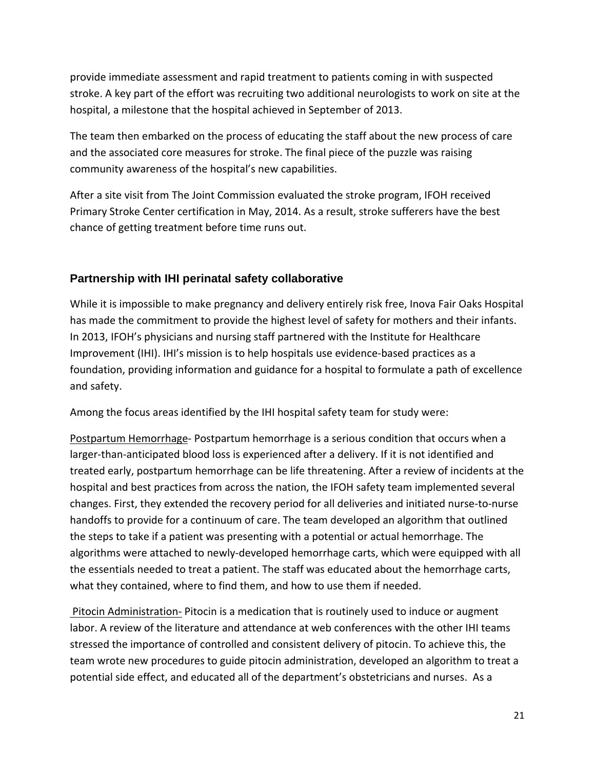provide immediate assessment and rapid treatment to patients coming in with suspected stroke. A key part of the effort was recruiting two additional neurologists to work on site at the hospital, a milestone that the hospital achieved in September of 2013.

The team then embarked on the process of educating the staff about the new process of care and the associated core measures for stroke. The final piece of the puzzle was raising community awareness of the hospital's new capabilities.

After a site visit from The Joint Commission evaluated the stroke program, IFOH received Primary Stroke Center certification in May, 2014. As a result, stroke sufferers have the best chance of getting treatment before time runs out.

# **Partnership with IHI perinatal safety collaborative**

While it is impossible to make pregnancy and delivery entirely risk free, Inova Fair Oaks Hospital has made the commitment to provide the highest level of safety for mothers and their infants. In 2013, IFOH's physicians and nursing staff partnered with the Institute for Healthcare Improvement (IHI). IHI's mission is to help hospitals use evidence‐based practices as a foundation, providing information and guidance for a hospital to formulate a path of excellence and safety.

Among the focus areas identified by the IHI hospital safety team for study were:

Postpartum Hemorrhage‐ Postpartum hemorrhage is a serious condition that occurs when a larger-than-anticipated blood loss is experienced after a delivery. If it is not identified and treated early, postpartum hemorrhage can be life threatening. After a review of incidents at the hospital and best practices from across the nation, the IFOH safety team implemented several changes. First, they extended the recovery period for all deliveries and initiated nurse‐to‐nurse handoffs to provide for a continuum of care. The team developed an algorithm that outlined the steps to take if a patient was presenting with a potential or actual hemorrhage. The algorithms were attached to newly‐developed hemorrhage carts, which were equipped with all the essentials needed to treat a patient. The staff was educated about the hemorrhage carts, what they contained, where to find them, and how to use them if needed.

Pitocin Administration - Pitocin is a medication that is routinely used to induce or augment labor. A review of the literature and attendance at web conferences with the other IHI teams stressed the importance of controlled and consistent delivery of pitocin. To achieve this, the team wrote new procedures to guide pitocin administration, developed an algorithm to treat a potential side effect, and educated all of the department's obstetricians and nurses. As a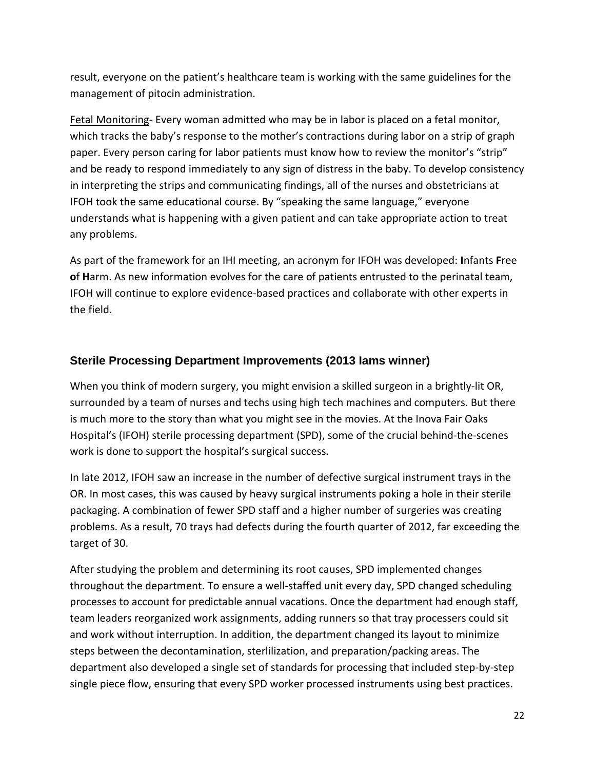result, everyone on the patient's healthcare team is working with the same guidelines for the management of pitocin administration.

Fetal Monitoring- Every woman admitted who may be in labor is placed on a fetal monitor, which tracks the baby's response to the mother's contractions during labor on a strip of graph paper. Every person caring for labor patients must know how to review the monitor's "strip" and be ready to respond immediately to any sign of distress in the baby. To develop consistency in interpreting the strips and communicating findings, all of the nurses and obstetricians at IFOH took the same educational course. By "speaking the same language," everyone understands what is happening with a given patient and can take appropriate action to treat any problems.

As part of the framework for an IHI meeting, an acronym for IFOH was developed: **I**nfants **F**ree **o**f **H**arm. As new information evolves for the care of patients entrusted to the perinatal team, IFOH will continue to explore evidence‐based practices and collaborate with other experts in the field.

# **Sterile Processing Department Improvements (2013 Iams winner)**

When you think of modern surgery, you might envision a skilled surgeon in a brightly-lit OR, surrounded by a team of nurses and techs using high tech machines and computers. But there is much more to the story than what you might see in the movies. At the Inova Fair Oaks Hospital's (IFOH) sterile processing department (SPD), some of the crucial behind‐the‐scenes work is done to support the hospital's surgical success.

In late 2012, IFOH saw an increase in the number of defective surgical instrument trays in the OR. In most cases, this was caused by heavy surgical instruments poking a hole in their sterile packaging. A combination of fewer SPD staff and a higher number of surgeries was creating problems. As a result, 70 trays had defects during the fourth quarter of 2012, far exceeding the target of 30.

After studying the problem and determining its root causes, SPD implemented changes throughout the department. To ensure a well‐staffed unit every day, SPD changed scheduling processes to account for predictable annual vacations. Once the department had enough staff, team leaders reorganized work assignments, adding runners so that tray processers could sit and work without interruption. In addition, the department changed its layout to minimize steps between the decontamination, sterlilization, and preparation/packing areas. The department also developed a single set of standards for processing that included step‐by‐step single piece flow, ensuring that every SPD worker processed instruments using best practices.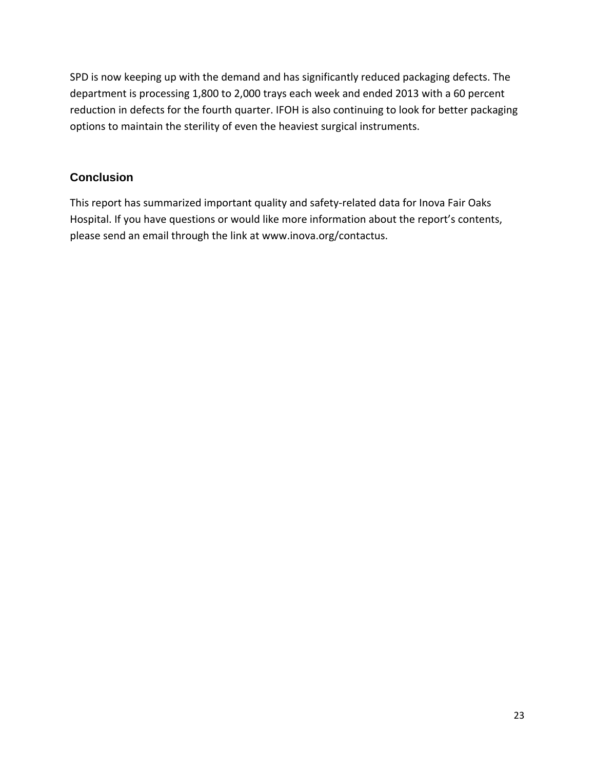SPD is now keeping up with the demand and has significantly reduced packaging defects. The department is processing 1,800 to 2,000 trays each week and ended 2013 with a 60 percent reduction in defects for the fourth quarter. IFOH is also continuing to look for better packaging options to maintain the sterility of even the heaviest surgical instruments.

# **Conclusion**

This report has summarized important quality and safety-related data for Inova Fair Oaks Hospital. If you have questions or would like more information about the report's contents, please send an email through the link at www.inova.org/contactus.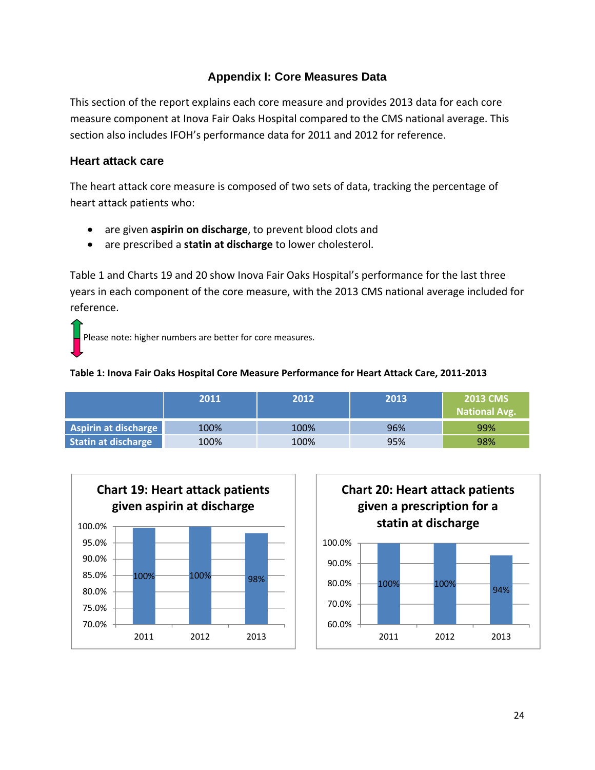# **Appendix I: Core Measures Data**

This section of the report explains each core measure and provides 2013 data for each core measure component at Inova Fair Oaks Hospital compared to the CMS national average. This section also includes IFOH's performance data for 2011 and 2012 for reference.

# **Heart attack care**

The heart attack core measure is composed of two sets of data, tracking the percentage of heart attack patients who:

- are given **aspirin on discharge**, to prevent blood clots and
- are prescribed a **statin at discharge** to lower cholesterol.

Table 1 and Charts 19 and 20 show Inova Fair Oaks Hospital's performance for the last three years in each component of the core measure, with the 2013 CMS national average included for reference.

Please note: higher numbers are better for core measures.

### **Table 1: Inova Fair Oaks Hospital Core Measure Performance for Heart Attack Care, 2011‐2013**

|                             | 2011 | 2012 | 2013 | <b>2013 CMS</b><br><b>National Avg.</b> |
|-----------------------------|------|------|------|-----------------------------------------|
| <b>Aspirin at discharge</b> | 100% | 100% | 96%  | 99%                                     |
| Statin at discharge         | 100% | 100% | 95%  | 98%                                     |



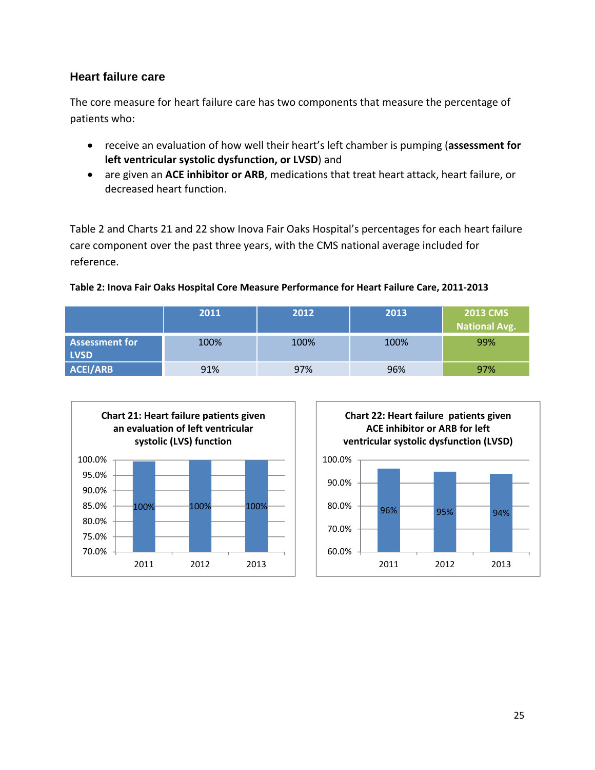## **Heart failure care**

The core measure for heart failure care has two components that measure the percentage of patients who:

- receive an evaluation of how well their heart's left chamber is pumping (**assessment for left ventricular systolic dysfunction, or LVSD**) and
- are given an **ACE inhibitor or ARB**, medications that treat heart attack, heart failure, or decreased heart function.

Table 2 and Charts 21 and 22 show Inova Fair Oaks Hospital's percentages for each heart failure care component over the past three years, with the CMS national average included for reference.

### **Table 2: Inova Fair Oaks Hospital Core Measure Performance for Heart Failure Care, 2011‐2013**

|                                      | 2011 | 2012 | 2013 | <b>2013 CMS</b><br>National Avg. |
|--------------------------------------|------|------|------|----------------------------------|
| <b>Assessment for</b><br><b>LVSD</b> | 100% | 100% | 100% | 99%                              |
| <b>ACEI/ARB</b>                      | 91%  | 97%  | 96%  | 97%                              |



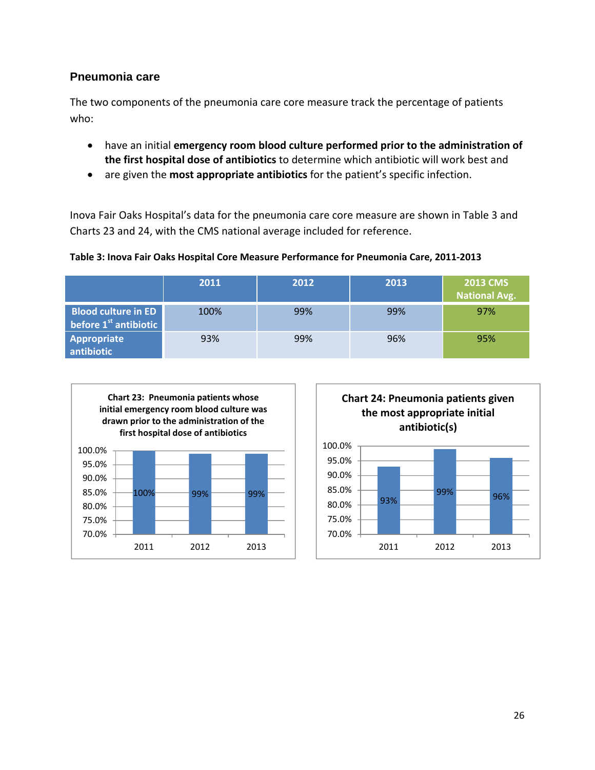## **Pneumonia care**

The two components of the pneumonia care core measure track the percentage of patients who:

- have an initial **emergency room blood culture performed prior to the administration of the first hospital dose of antibiotics** to determine which antibiotic will work best and
- are given the **most appropriate antibiotics** for the patient's specific infection.

Inova Fair Oaks Hospital's data for the pneumonia care core measure are shown in Table 3 and Charts 23 and 24, with the CMS national average included for reference.

### **Table 3: Inova Fair Oaks Hospital Core Measure Performance for Pneumonia Care, 2011‐2013**

|                                                       | 2011 | 2012 | 2013 | <b>2013 CMS</b><br><b>National Avg.</b> |
|-------------------------------------------------------|------|------|------|-----------------------------------------|
| <b>Blood culture in ED</b><br>before $1st$ antibiotic | 100% | 99%  | 99%  | 97%                                     |
| <b>Appropriate</b><br>antibiotic                      | 93%  | 99%  | 96%  | 95%                                     |



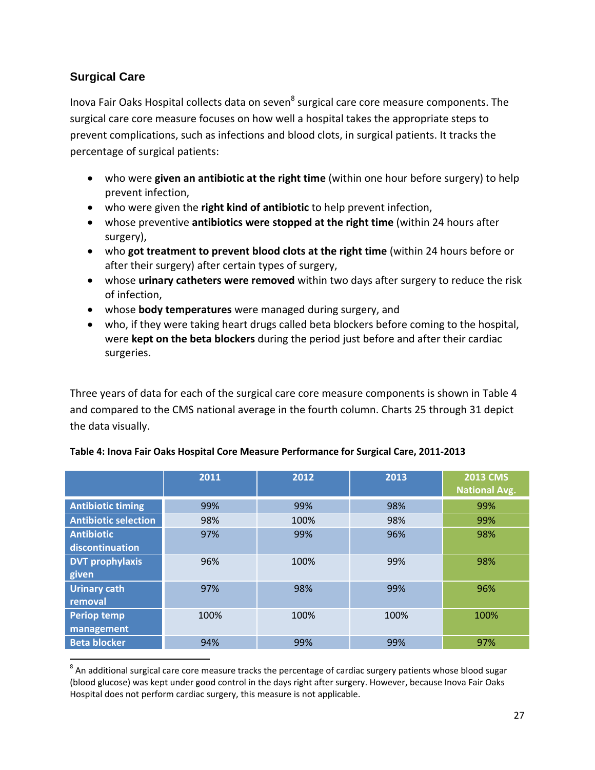# **Surgical Care**

Inova Fair Oaks Hospital collects data on seven<sup>8</sup> surgical care core measure components. The surgical care core measure focuses on how well a hospital takes the appropriate steps to prevent complications, such as infections and blood clots, in surgical patients. It tracks the percentage of surgical patients:

- who were **given an antibiotic at the right time** (within one hour before surgery) to help prevent infection,
- who were given the **right kind of antibiotic** to help prevent infection,
- whose preventive **antibiotics were stopped at the right time** (within 24 hours after surgery),
- who **got treatment to prevent blood clots at the right time** (within 24 hours before or after their surgery) after certain types of surgery,
- whose **urinary catheters were removed** within two days after surgery to reduce the risk of infection,
- whose **body temperatures** were managed during surgery, and
- who, if they were taking heart drugs called beta blockers before coming to the hospital, were **kept on the beta blockers** during the period just before and after their cardiac surgeries.

Three years of data for each of the surgical care core measure components is shown in Table 4 and compared to the CMS national average in the fourth column. Charts 25 through 31 depict the data visually.

|                             | 2011 | 2012 | 2013 | <b>2013 CMS</b><br><b>National Avg.</b> |
|-----------------------------|------|------|------|-----------------------------------------|
| <b>Antibiotic timing</b>    | 99%  | 99%  | 98%  | 99%                                     |
| <b>Antibiotic selection</b> | 98%  | 100% | 98%  | 99%                                     |
| <b>Antibiotic</b>           | 97%  | 99%  | 96%  | 98%                                     |
| discontinuation             |      |      |      |                                         |
| <b>DVT prophylaxis</b>      | 96%  | 100% | 99%  | 98%                                     |
| given                       |      |      |      |                                         |
| <b>Urinary cath</b>         | 97%  | 98%  | 99%  | 96%                                     |
| removal                     |      |      |      |                                         |
| <b>Periop temp</b>          | 100% | 100% | 100% | 100%                                    |
| management                  |      |      |      |                                         |
| <b>Beta blocker</b>         | 94%  | 99%  | 99%  | 97%                                     |

### **Table 4: Inova Fair Oaks Hospital Core Measure Performance for Surgical Care, 2011‐2013**

  $8$  An additional surgical care core measure tracks the percentage of cardiac surgery patients whose blood sugar (blood glucose) was kept under good control in the days right after surgery. However, because Inova Fair Oaks Hospital does not perform cardiac surgery, this measure is not applicable.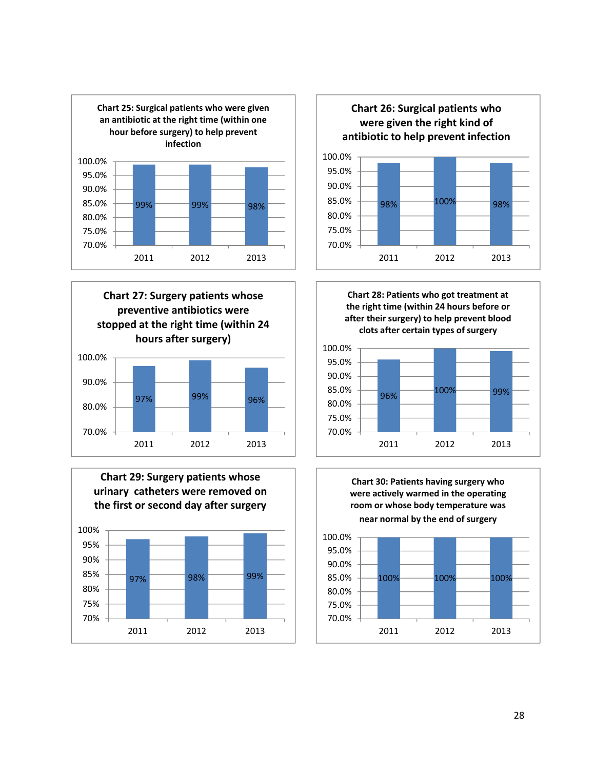











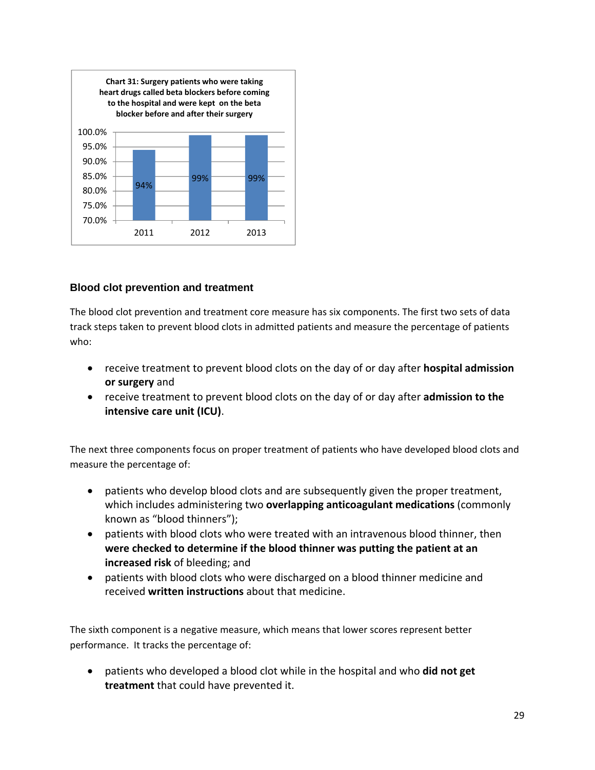

### **Blood clot prevention and treatment**

The blood clot prevention and treatment core measure has six components. The first two sets of data track steps taken to prevent blood clots in admitted patients and measure the percentage of patients who:

- receive treatment to prevent blood clots on the day of or day after **hospital admission or surgery** and
- receive treatment to prevent blood clots on the day of or day after **admission to the intensive care unit (ICU)**.

The next three components focus on proper treatment of patients who have developed blood clots and measure the percentage of:

- patients who develop blood clots and are subsequently given the proper treatment, which includes administering two **overlapping anticoagulant medications** (commonly known as "blood thinners");
- patients with blood clots who were treated with an intravenous blood thinner, then **were checked to determine if the blood thinner was putting the patient at an increased risk** of bleeding; and
- patients with blood clots who were discharged on a blood thinner medicine and received **written instructions** about that medicine.

The sixth component is a negative measure, which means that lower scores represent better performance. It tracks the percentage of:

 patients who developed a blood clot while in the hospital and who **did not get treatment** that could have prevented it.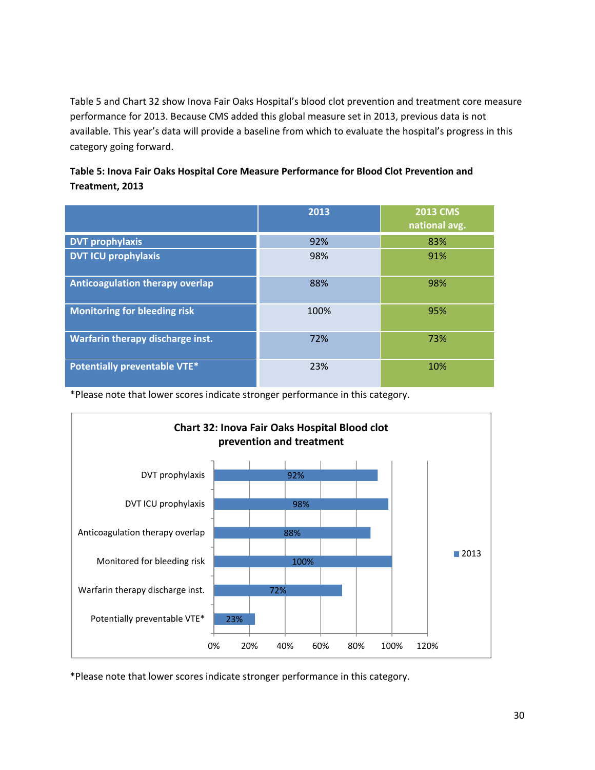Table 5 and Chart 32 show Inova Fair Oaks Hospital's blood clot prevention and treatment core measure performance for 2013. Because CMS added this global measure set in 2013, previous data is not available. This year's data will provide a baseline from which to evaluate the hospital's progress in this category going forward.

### **Table 5: Inova Fair Oaks Hospital Core Measure Performance for Blood Clot Prevention and Treatment, 2013**

|                                         | 2013 | <b>2013 CMS</b><br>national avg. |
|-----------------------------------------|------|----------------------------------|
| <b>DVT prophylaxis</b>                  | 92%  | 83%                              |
| <b>DVT ICU prophylaxis</b>              | 98%  | 91%                              |
| <b>Anticoagulation therapy overlap</b>  | 88%  | 98%                              |
| <b>Monitoring for bleeding risk</b>     | 100% | 95%                              |
| <b>Warfarin therapy discharge inst.</b> | 72%  | 73%                              |
| <b>Potentially preventable VTE*</b>     | 23%  | 10%                              |

\*Please note that lower scores indicate stronger performance in this category.



\*Please note that lower scores indicate stronger performance in this category.